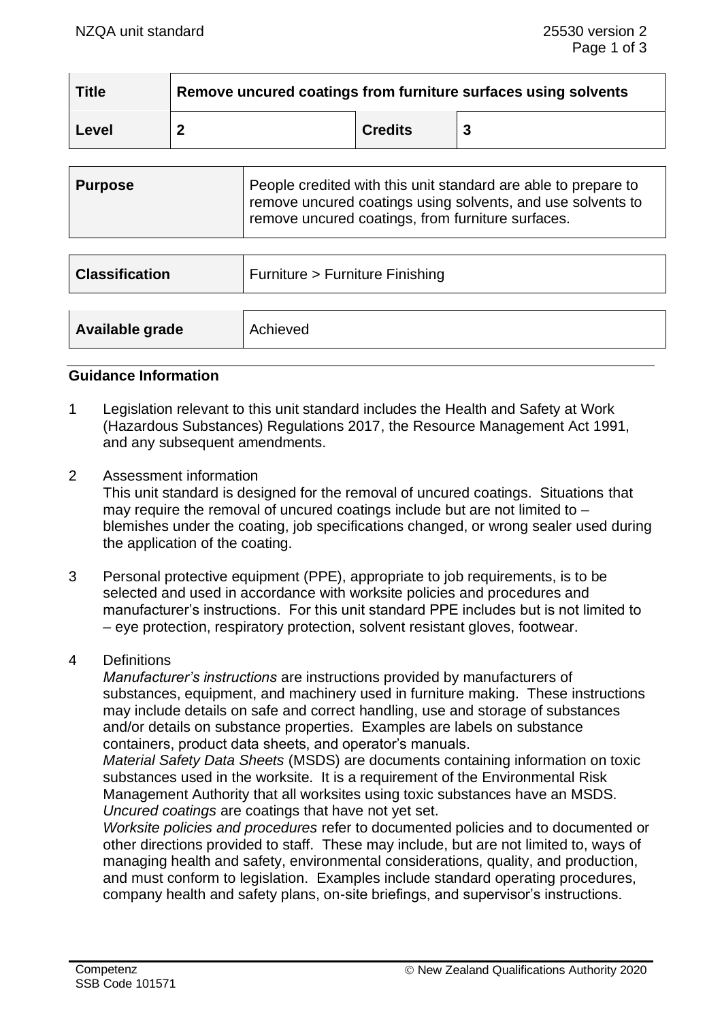| <b>Title</b> | Remove uncured coatings from furniture surfaces using solvents |                |   |  |  |
|--------------|----------------------------------------------------------------|----------------|---|--|--|
| l Level      |                                                                | <b>Credits</b> | 3 |  |  |

| <b>Purpose</b> | People credited with this unit standard are able to prepare to<br>remove uncured coatings using solvents, and use solvents to |
|----------------|-------------------------------------------------------------------------------------------------------------------------------|
|                | remove uncured coatings, from furniture surfaces.                                                                             |

| <b>Classification</b> | Furniture > Furniture Finishing |
|-----------------------|---------------------------------|
| Available grade       | Achieved                        |

#### **Guidance Information**

- 1 Legislation relevant to this unit standard includes the Health and Safety at Work (Hazardous Substances) Regulations 2017, the Resource Management Act 1991, and any subsequent amendments.
- 2 Assessment information

This unit standard is designed for the removal of uncured coatings. Situations that may require the removal of uncured coatings include but are not limited to  $$ blemishes under the coating, job specifications changed, or wrong sealer used during the application of the coating.

3 Personal protective equipment (PPE), appropriate to job requirements, is to be selected and used in accordance with worksite policies and procedures and manufacturer's instructions. For this unit standard PPE includes but is not limited to – eye protection, respiratory protection, solvent resistant gloves, footwear.

#### 4 Definitions

*Manufacturer's instructions* are instructions provided by manufacturers of substances, equipment, and machinery used in furniture making. These instructions may include details on safe and correct handling, use and storage of substances and/or details on substance properties. Examples are labels on substance containers, product data sheets, and operator's manuals.

*Material Safety Data Sheets* (MSDS) are documents containing information on toxic substances used in the worksite. It is a requirement of the Environmental Risk Management Authority that all worksites using toxic substances have an MSDS. *Uncured coatings* are coatings that have not yet set.

*Worksite policies and procedures* refer to documented policies and to documented or other directions provided to staff. These may include, but are not limited to, ways of managing health and safety, environmental considerations, quality, and production, and must conform to legislation. Examples include standard operating procedures, company health and safety plans, on-site briefings, and supervisor's instructions.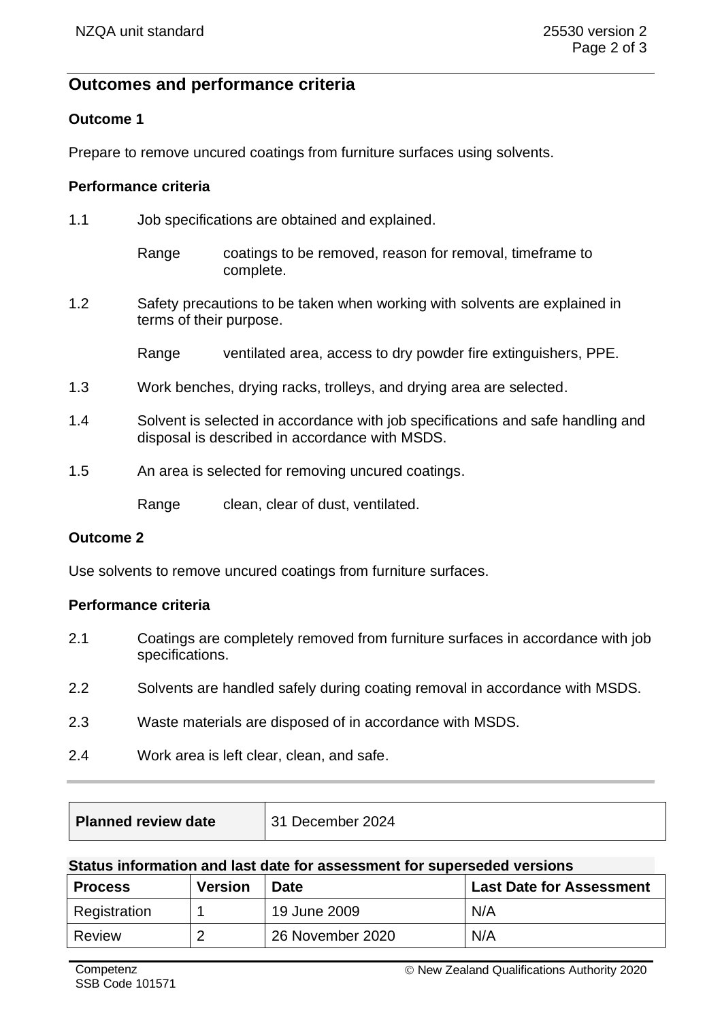# **Outcomes and performance criteria**

## **Outcome 1**

Prepare to remove uncured coatings from furniture surfaces using solvents.

## **Performance criteria**

| 1.1 | Job specifications are obtained and explained.                                                                                    |                                                                       |  |  |
|-----|-----------------------------------------------------------------------------------------------------------------------------------|-----------------------------------------------------------------------|--|--|
|     | Range                                                                                                                             | coatings to be removed, reason for removal, timeframe to<br>complete. |  |  |
| 1.2 | Safety precautions to be taken when working with solvents are explained in<br>terms of their purpose.                             |                                                                       |  |  |
|     | Range                                                                                                                             | ventilated area, access to dry powder fire extinguishers, PPE.        |  |  |
| 1.3 | Work benches, drying racks, trolleys, and drying area are selected.                                                               |                                                                       |  |  |
| 1.4 | Solvent is selected in accordance with job specifications and safe handling and<br>disposal is described in accordance with MSDS. |                                                                       |  |  |
| 1.5 | An area is selected for removing uncured coatings.                                                                                |                                                                       |  |  |
|     | Range                                                                                                                             | clean, clear of dust, ventilated.                                     |  |  |

#### **Outcome 2**

Use solvents to remove uncured coatings from furniture surfaces.

## **Performance criteria**

- 2.1 Coatings are completely removed from furniture surfaces in accordance with job specifications.
- 2.2 Solvents are handled safely during coating removal in accordance with MSDS.
- 2.3 Waste materials are disposed of in accordance with MSDS.
- 2.4 Work area is left clear, clean, and safe.

| <b>Planned review date</b> | 31 December 2024 |
|----------------------------|------------------|
|----------------------------|------------------|

#### **Status information and last date for assessment for superseded versions**

| <b>Version</b><br><b>Process</b> |  | <b>Date</b>      | <b>Last Date for Assessment</b> |  |  |
|----------------------------------|--|------------------|---------------------------------|--|--|
| Registration                     |  | 19 June 2009     | N/A                             |  |  |
| Review                           |  | 26 November 2020 | N/A                             |  |  |